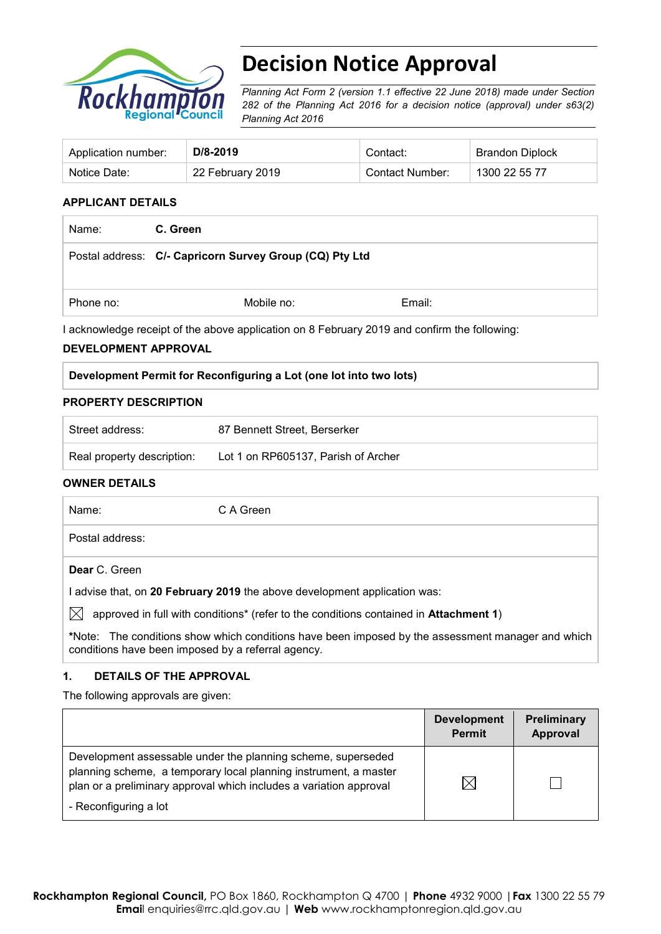

# **Decision Notice Approval**

*Planning Act Form 2 (version 1.1 effective 22 June 2018) made under Section 282 of the Planning Act 2016 for a decision notice (approval) under s63(2) Planning Act 2016*

| Application number: | D/8-2019         | Contact:        | <b>Brandon Diplock</b> |
|---------------------|------------------|-----------------|------------------------|
| Notice Date:        | 22 February 2019 | Contact Number: | 1300 22 55 77          |

#### **APPLICANT DETAILS**

| Name:     | C. Green                                                |        |
|-----------|---------------------------------------------------------|--------|
|           | Postal address: C/- Capricorn Survey Group (CQ) Pty Ltd |        |
| Phone no: | Mobile no:                                              | Email: |

I acknowledge receipt of the above application on 8 February 2019 and confirm the following:

#### **DEVELOPMENT APPROVAL**

| Development Permit for Reconfiguring a Lot (one lot into two lots) |
|--------------------------------------------------------------------|
|--------------------------------------------------------------------|

#### **PROPERTY DESCRIPTION**

| Street address:            | 87 Bennett Street, Berserker        |
|----------------------------|-------------------------------------|
| Real property description: | Lot 1 on RP605137, Parish of Archer |

#### **OWNER DETAILS**

| Name: |                 | C A Green                                                                                                 |
|-------|-----------------|-----------------------------------------------------------------------------------------------------------|
|       | Postal address: |                                                                                                           |
|       | Dear C. Green   |                                                                                                           |
|       |                 | I advise that, on 20 February 2019 the above development application was:                                 |
|       |                 | approved in full with conditions <sup>*</sup> (refer to the conditions contained in <b>Attachment 1</b> ) |
|       |                 | *Note: The conditions show which conditions have been imposed by the assessment manager and which         |

#### **1. DETAILS OF THE APPROVAL**

conditions have been imposed by a referral agency.

The following approvals are given:

|                                                                                                                                                                                                                                 | <b>Development</b><br><b>Permit</b> | <b>Preliminary</b><br><b>Approval</b> |
|---------------------------------------------------------------------------------------------------------------------------------------------------------------------------------------------------------------------------------|-------------------------------------|---------------------------------------|
| Development assessable under the planning scheme, superseded<br>planning scheme, a temporary local planning instrument, a master<br>plan or a preliminary approval which includes a variation approval<br>- Reconfiguring a lot | $\boxtimes$                         |                                       |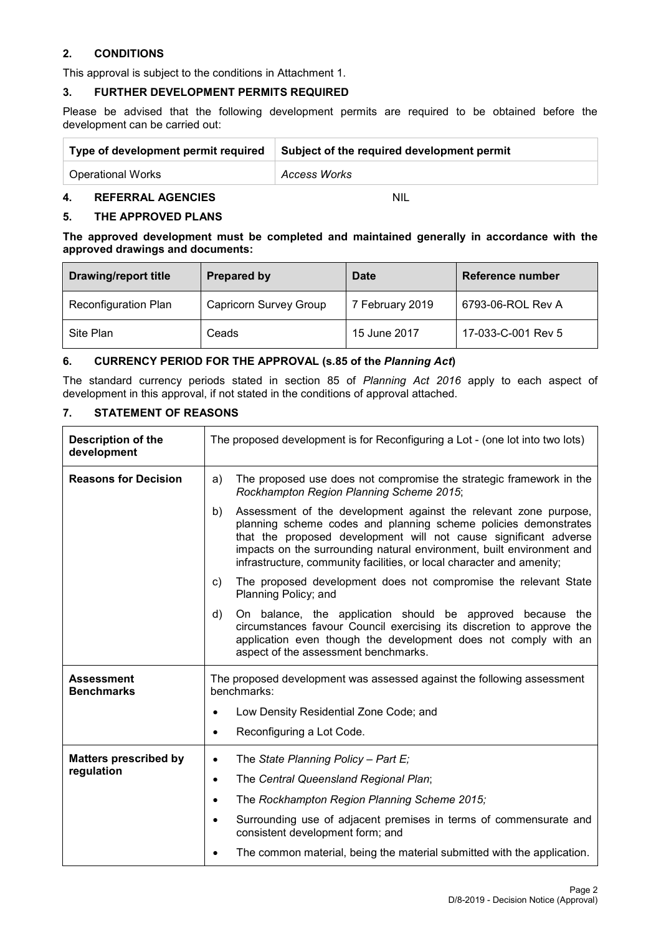#### **2. CONDITIONS**

This approval is subject to the conditions in Attachment 1.

### **3. FURTHER DEVELOPMENT PERMITS REQUIRED**

Please be advised that the following development permits are required to be obtained before the development can be carried out:

| Type of development permit required | Subject of the required development permit |
|-------------------------------------|--------------------------------------------|
| <b>Operational Works</b>            | Access Works                               |

#### **4. REFERRAL AGENCIES** NIL

#### **5. THE APPROVED PLANS**

**The approved development must be completed and maintained generally in accordance with the approved drawings and documents:**

| <b>Drawing/report title</b> | Prepared by                   | <b>Date</b>     | Reference number   |
|-----------------------------|-------------------------------|-----------------|--------------------|
| <b>Reconfiguration Plan</b> | <b>Capricorn Survey Group</b> | 7 February 2019 | 6793-06-ROL Rev A  |
| Site Plan                   | Ceads                         | 15 June 2017    | 17-033-C-001 Rev 5 |

#### **6. CURRENCY PERIOD FOR THE APPROVAL (s.85 of the** *Planning Act***)**

The standard currency periods stated in section 85 of *Planning Act 2016* apply to each aspect of development in this approval, if not stated in the conditions of approval attached.

#### **7. STATEMENT OF REASONS**

| <b>Description of the</b><br>development | The proposed development is for Reconfiguring a Lot - (one lot into two lots)                                                                                                                                                                                                                                                                                   |  |
|------------------------------------------|-----------------------------------------------------------------------------------------------------------------------------------------------------------------------------------------------------------------------------------------------------------------------------------------------------------------------------------------------------------------|--|
| <b>Reasons for Decision</b>              | The proposed use does not compromise the strategic framework in the<br>a)<br>Rockhampton Region Planning Scheme 2015;                                                                                                                                                                                                                                           |  |
|                                          | Assessment of the development against the relevant zone purpose,<br>b)<br>planning scheme codes and planning scheme policies demonstrates<br>that the proposed development will not cause significant adverse<br>impacts on the surrounding natural environment, built environment and<br>infrastructure, community facilities, or local character and amenity; |  |
|                                          | The proposed development does not compromise the relevant State<br>C)<br>Planning Policy; and                                                                                                                                                                                                                                                                   |  |
|                                          | On balance, the application should be approved because the<br>d)<br>circumstances favour Council exercising its discretion to approve the<br>application even though the development does not comply with an<br>aspect of the assessment benchmarks.                                                                                                            |  |
| <b>Assessment</b><br><b>Benchmarks</b>   | The proposed development was assessed against the following assessment<br>benchmarks:                                                                                                                                                                                                                                                                           |  |
|                                          | Low Density Residential Zone Code; and                                                                                                                                                                                                                                                                                                                          |  |
|                                          | Reconfiguring a Lot Code.                                                                                                                                                                                                                                                                                                                                       |  |
| <b>Matters prescribed by</b>             | The State Planning Policy - Part E;<br>$\bullet$                                                                                                                                                                                                                                                                                                                |  |
| regulation                               | The Central Queensland Regional Plan;<br>$\bullet$                                                                                                                                                                                                                                                                                                              |  |
|                                          | The Rockhampton Region Planning Scheme 2015;<br>$\bullet$                                                                                                                                                                                                                                                                                                       |  |
|                                          | Surrounding use of adjacent premises in terms of commensurate and<br>consistent development form; and                                                                                                                                                                                                                                                           |  |
|                                          | The common material, being the material submitted with the application.                                                                                                                                                                                                                                                                                         |  |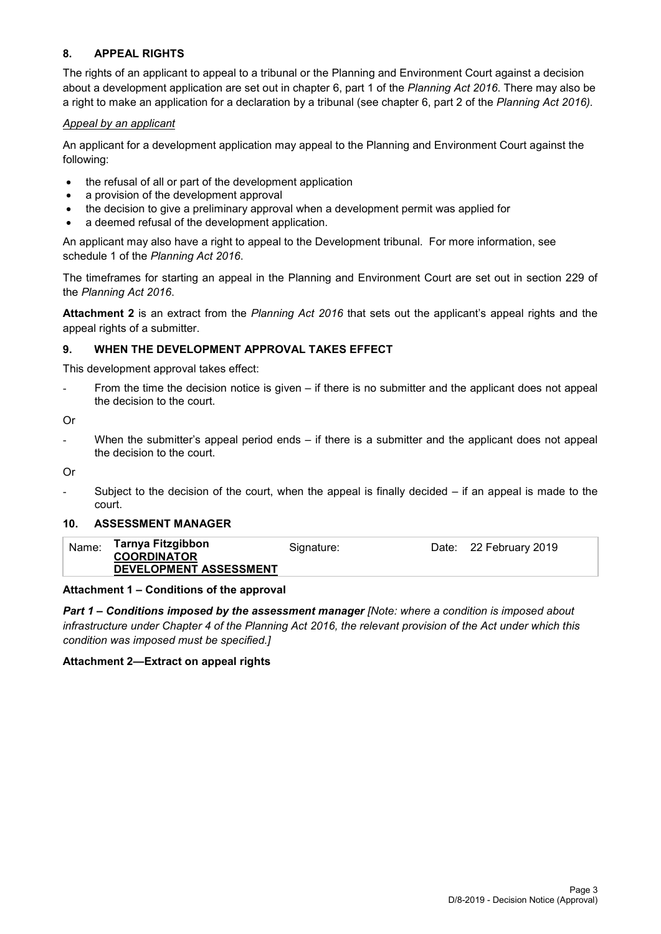#### **8. APPEAL RIGHTS**

The rights of an applicant to appeal to a tribunal or the Planning and Environment Court against a decision about a development application are set out in chapter 6, part 1 of the *Planning Act 2016*. There may also be a right to make an application for a declaration by a tribunal (see chapter 6, part 2 of the *Planning Act 2016).*

#### *Appeal by an applicant*

An applicant for a development application may appeal to the Planning and Environment Court against the following:

- the refusal of all or part of the development application
- a provision of the development approval
- the decision to give a preliminary approval when a development permit was applied for
- a deemed refusal of the development application.

An applicant may also have a right to appeal to the Development tribunal. For more information, see schedule 1 of the *Planning Act 2016*.

The timeframes for starting an appeal in the Planning and Environment Court are set out in section 229 of the *Planning Act 2016*.

**Attachment 2** is an extract from the *Planning Act 2016* that sets out the applicant's appeal rights and the appeal rights of a submitter.

#### **9. WHEN THE DEVELOPMENT APPROVAL TAKES EFFECT**

This development approval takes effect:

From the time the decision notice is given  $-$  if there is no submitter and the applicant does not appeal the decision to the court.

Or

When the submitter's appeal period ends  $-$  if there is a submitter and the applicant does not appeal the decision to the court.

Or

Subject to the decision of the court, when the appeal is finally decided  $-$  if an appeal is made to the court.

#### **10. ASSESSMENT MANAGER**

| Name: | Tarnya Fitzgibbon<br><b>COORDINATOR</b> | Signature: | Date: 22 February 2019 |
|-------|-----------------------------------------|------------|------------------------|
|       | DEVELOPMENT ASSESSMENT                  |            |                        |

#### **Attachment 1 – Conditions of the approval**

*Part 1* **–** *Conditions imposed by the assessment manager [Note: where a condition is imposed about infrastructure under Chapter 4 of the Planning Act 2016, the relevant provision of the Act under which this condition was imposed must be specified.]*

#### **Attachment 2—Extract on appeal rights**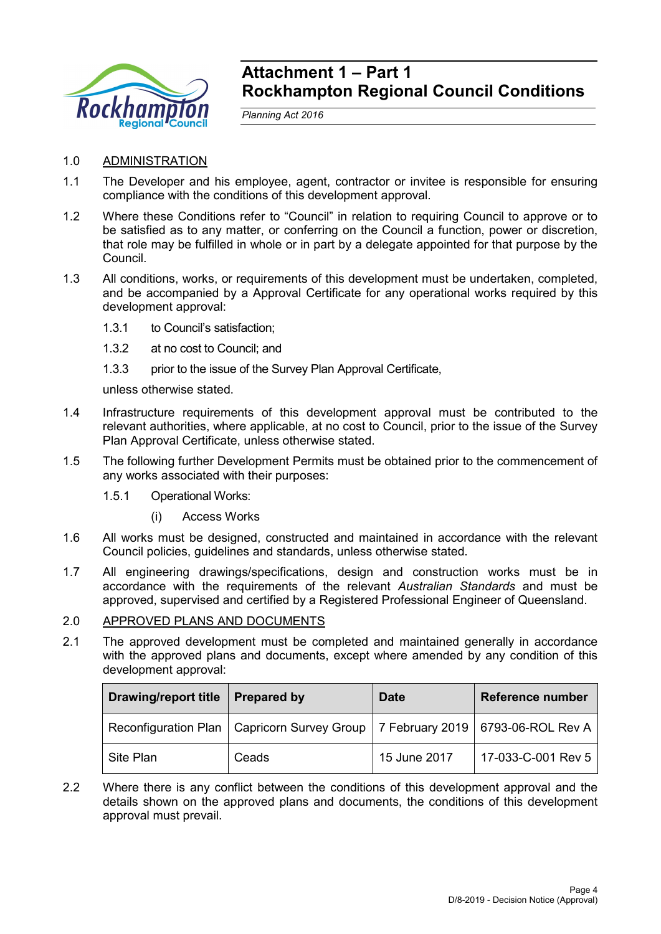

# **Attachment 1 – Part 1 Rockhampton Regional Council Conditions**

*Planning Act 2016*

# 1.0 ADMINISTRATION

- 1.1 The Developer and his employee, agent, contractor or invitee is responsible for ensuring compliance with the conditions of this development approval.
- 1.2 Where these Conditions refer to "Council" in relation to requiring Council to approve or to be satisfied as to any matter, or conferring on the Council a function, power or discretion, that role may be fulfilled in whole or in part by a delegate appointed for that purpose by the Council.
- 1.3 All conditions, works, or requirements of this development must be undertaken, completed, and be accompanied by a Approval Certificate for any operational works required by this development approval:
	- 1.3.1 to Council's satisfaction;
	- 1.3.2 at no cost to Council; and
	- 1.3.3 prior to the issue of the Survey Plan Approval Certificate,

unless otherwise stated.

- 1.4 Infrastructure requirements of this development approval must be contributed to the relevant authorities, where applicable, at no cost to Council, prior to the issue of the Survey Plan Approval Certificate, unless otherwise stated.
- 1.5 The following further Development Permits must be obtained prior to the commencement of any works associated with their purposes:
	- 1.5.1 Operational Works:
		- (i) Access Works
- 1.6 All works must be designed, constructed and maintained in accordance with the relevant Council policies, guidelines and standards, unless otherwise stated.
- 1.7 All engineering drawings/specifications, design and construction works must be in accordance with the requirements of the relevant *Australian Standards* and must be approved, supervised and certified by a Registered Professional Engineer of Queensland.

#### 2.0 APPROVED PLANS AND DOCUMENTS

2.1 The approved development must be completed and maintained generally in accordance with the approved plans and documents, except where amended by any condition of this development approval:

| <b>Drawing/report title</b> | <b>Prepared by</b>                                                                  | <b>Date</b>  | <b>Reference number</b> |
|-----------------------------|-------------------------------------------------------------------------------------|--------------|-------------------------|
|                             | Reconfiguration Plan   Capricorn Survey Group   7 February 2019   6793-06-ROL Rev A |              |                         |
| Site Plan                   | Ceads                                                                               | 15 June 2017 | 17-033-C-001 Rev 5      |

2.2 Where there is any conflict between the conditions of this development approval and the details shown on the approved plans and documents, the conditions of this development approval must prevail.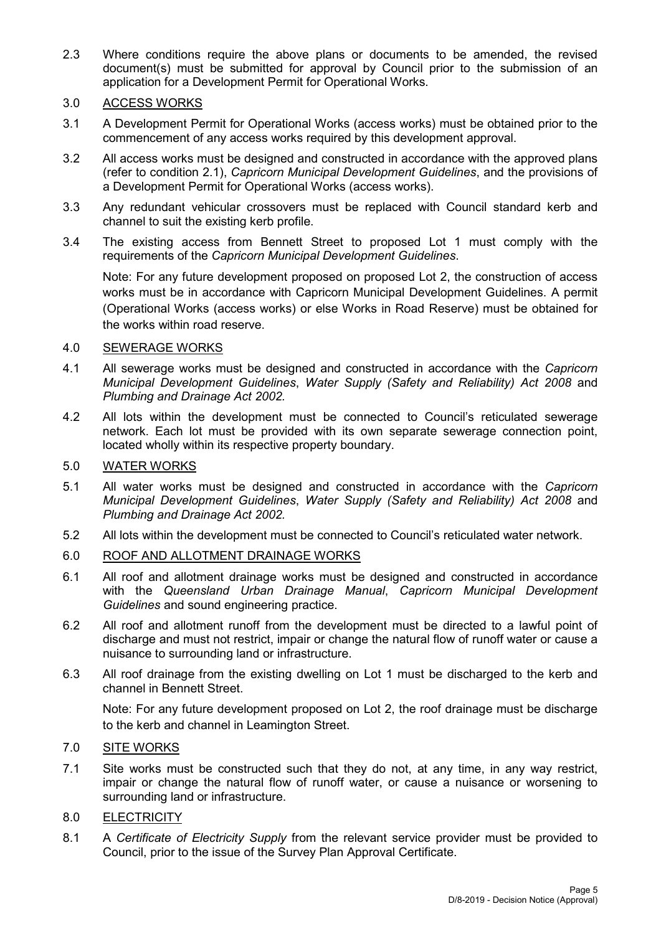2.3 Where conditions require the above plans or documents to be amended, the revised document(s) must be submitted for approval by Council prior to the submission of an application for a Development Permit for Operational Works.

## 3.0 ACCESS WORKS

- 3.1 A Development Permit for Operational Works (access works) must be obtained prior to the commencement of any access works required by this development approval.
- 3.2 All access works must be designed and constructed in accordance with the approved plans (refer to condition 2.1), *Capricorn Municipal Development Guidelines*, and the provisions of a Development Permit for Operational Works (access works).
- 3.3 Any redundant vehicular crossovers must be replaced with Council standard kerb and channel to suit the existing kerb profile.
- 3.4 The existing access from Bennett Street to proposed Lot 1 must comply with the requirements of the *Capricorn Municipal Development Guidelines*.

Note: For any future development proposed on proposed Lot 2, the construction of access works must be in accordance with Capricorn Municipal Development Guidelines. A permit (Operational Works (access works) or else Works in Road Reserve) must be obtained for the works within road reserve.

### 4.0 SEWERAGE WORKS

- 4.1 All sewerage works must be designed and constructed in accordance with the *Capricorn Municipal Development Guidelines*, *Water Supply (Safety and Reliability) Act 2008* and *Plumbing and Drainage Act 2002.*
- 4.2 All lots within the development must be connected to Council's reticulated sewerage network. Each lot must be provided with its own separate sewerage connection point, located wholly within its respective property boundary.

#### 5.0 WATER WORKS

- 5.1 All water works must be designed and constructed in accordance with the *Capricorn Municipal Development Guidelines*, *Water Supply (Safety and Reliability) Act 2008* and *Plumbing and Drainage Act 2002.*
- 5.2 All lots within the development must be connected to Council's reticulated water network.

### 6.0 ROOF AND ALLOTMENT DRAINAGE WORKS

- 6.1 All roof and allotment drainage works must be designed and constructed in accordance with the *Queensland Urban Drainage Manual*, *Capricorn Municipal Development Guidelines* and sound engineering practice.
- 6.2 All roof and allotment runoff from the development must be directed to a lawful point of discharge and must not restrict, impair or change the natural flow of runoff water or cause a nuisance to surrounding land or infrastructure.
- 6.3 All roof drainage from the existing dwelling on Lot 1 must be discharged to the kerb and channel in Bennett Street.

Note: For any future development proposed on Lot 2, the roof drainage must be discharge to the kerb and channel in Leamington Street.

### 7.0 SITE WORKS

7.1 Site works must be constructed such that they do not, at any time, in any way restrict, impair or change the natural flow of runoff water, or cause a nuisance or worsening to surrounding land or infrastructure.

# 8.0 ELECTRICITY

8.1 A *Certificate of Electricity Supply* from the relevant service provider must be provided to Council, prior to the issue of the Survey Plan Approval Certificate.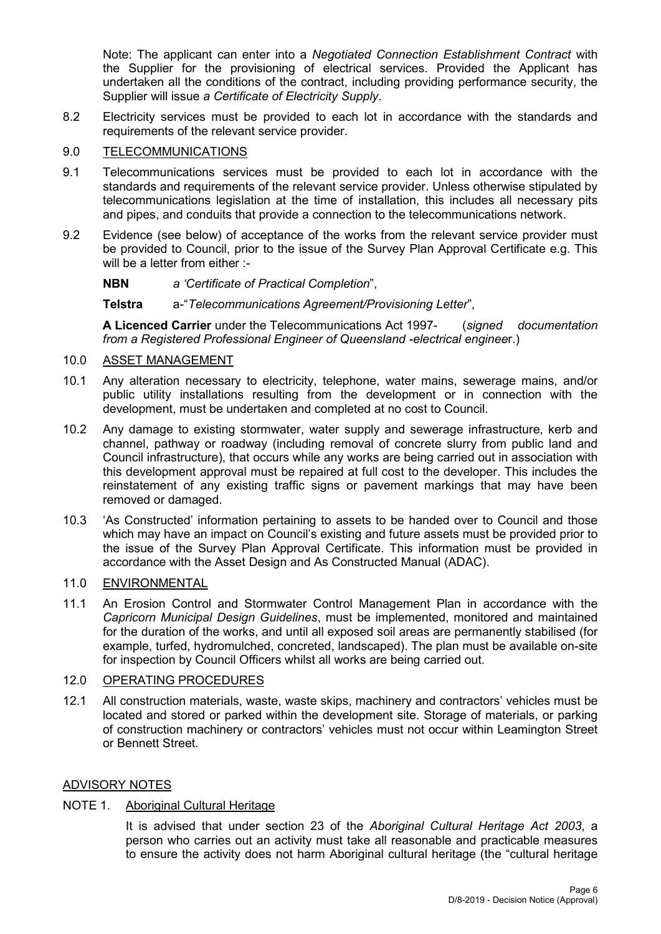Note: The applicant can enter into a *Negotiated Connection Establishment Contract* with the Supplier for the provisioning of electrical services. Provided the Applicant has undertaken all the conditions of the contract, including providing performance security, the Supplier will issue *a Certificate of Electricity Supply*.

8.2 Electricity services must be provided to each lot in accordance with the standards and requirements of the relevant service provider.

## 9.0 TELECOMMUNICATIONS

- 9.1 Telecommunications services must be provided to each lot in accordance with the standards and requirements of the relevant service provider. Unless otherwise stipulated by telecommunications legislation at the time of installation, this includes all necessary pits and pipes, and conduits that provide a connection to the telecommunications network.
- 9.2 Evidence (see below) of acceptance of the works from the relevant service provider must be provided to Council, prior to the issue of the Survey Plan Approval Certificate e.g. This will be a letter from either :-

#### **NBN** *a 'Certificate of Practical Completion*",

#### **Telstra** a-"*Telecommunications Agreement/Provisioning Letter*",

**A Licenced Carrier** under the Telecommunications Act 1997- (*signed documentation from a Registered Professional Engineer of Queensland -electrical enginee*r.)

#### 10.0 ASSET MANAGEMENT

- 10.1 Any alteration necessary to electricity, telephone, water mains, sewerage mains, and/or public utility installations resulting from the development or in connection with the development, must be undertaken and completed at no cost to Council.
- 10.2 Any damage to existing stormwater, water supply and sewerage infrastructure, kerb and channel, pathway or roadway (including removal of concrete slurry from public land and Council infrastructure), that occurs while any works are being carried out in association with this development approval must be repaired at full cost to the developer. This includes the reinstatement of any existing traffic signs or pavement markings that may have been removed or damaged.
- 10.3 'As Constructed' information pertaining to assets to be handed over to Council and those which may have an impact on Council's existing and future assets must be provided prior to the issue of the Survey Plan Approval Certificate. This information must be provided in accordance with the Asset Design and As Constructed Manual (ADAC).

#### 11.0 ENVIRONMENTAL

11.1 An Erosion Control and Stormwater Control Management Plan in accordance with the *Capricorn Municipal Design Guidelines*, must be implemented, monitored and maintained for the duration of the works, and until all exposed soil areas are permanently stabilised (for example, turfed, hydromulched, concreted, landscaped). The plan must be available on-site for inspection by Council Officers whilst all works are being carried out.

# 12.0 OPERATING PROCEDURES

12.1 All construction materials, waste, waste skips, machinery and contractors' vehicles must be located and stored or parked within the development site. Storage of materials, or parking of construction machinery or contractors' vehicles must not occur within Leamington Street or Bennett Street.

#### ADVISORY NOTES

### NOTE 1. Aboriginal Cultural Heritage

It is advised that under section 23 of the *Aboriginal Cultural Heritage Act 2003*, a person who carries out an activity must take all reasonable and practicable measures to ensure the activity does not harm Aboriginal cultural heritage (the "cultural heritage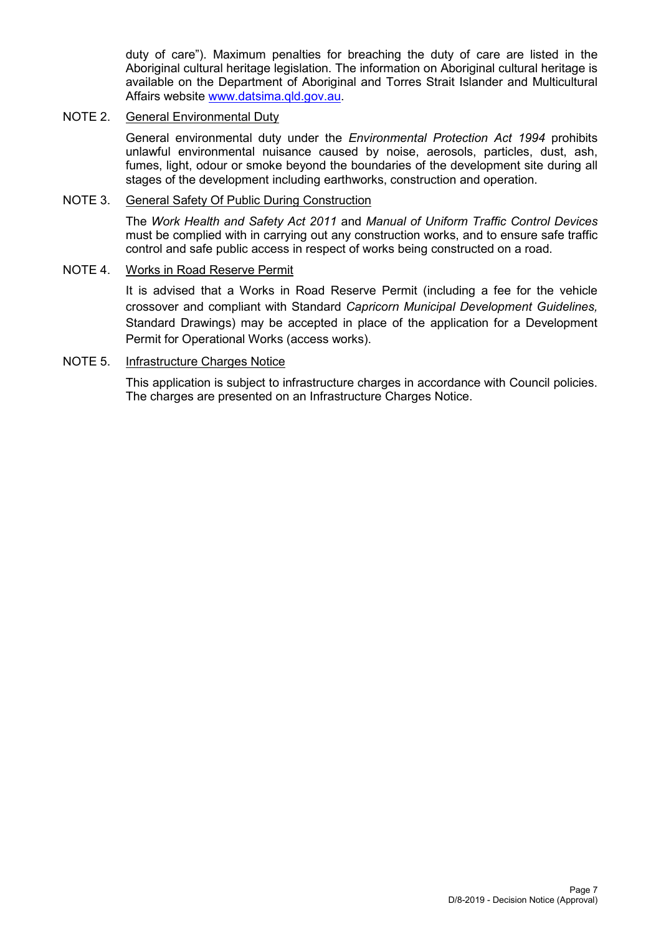duty of care"). Maximum penalties for breaching the duty of care are listed in the Aboriginal cultural heritage legislation. The information on Aboriginal cultural heritage is available on the Department of Aboriginal and Torres Strait Islander and Multicultural Affairs website [www.datsima.qld.gov.au.](http://www.datsima.qld.gov.au/)

# NOTE 2. General Environmental Duty

General environmental duty under the *Environmental Protection Act 1994* prohibits unlawful environmental nuisance caused by noise, aerosols, particles, dust, ash, fumes, light, odour or smoke beyond the boundaries of the development site during all stages of the development including earthworks, construction and operation.

# NOTE 3. General Safety Of Public During Construction

The *Work Health and Safety Act 2011* and *Manual of Uniform Traffic Control Devices* must be complied with in carrying out any construction works, and to ensure safe traffic control and safe public access in respect of works being constructed on a road.

#### NOTE 4. Works in Road Reserve Permit

It is advised that a Works in Road Reserve Permit (including a fee for the vehicle crossover and compliant with Standard *Capricorn Municipal Development Guidelines,* Standard Drawings) may be accepted in place of the application for a Development Permit for Operational Works (access works).

#### NOTE 5. Infrastructure Charges Notice

This application is subject to infrastructure charges in accordance with Council policies. The charges are presented on an Infrastructure Charges Notice.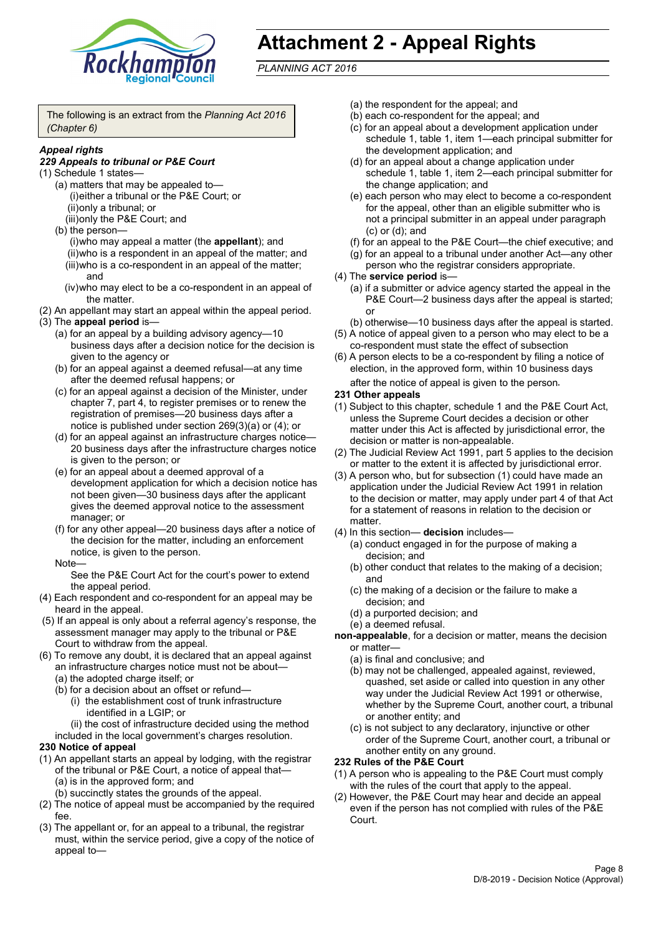

# **Attachment 2 - Appeal Rights**

*PLANNING ACT 2016*

The following is an extract from the *Planning Act 2016 (Chapter 6)*

# *Appeal rights*

#### *229 Appeals to tribunal or P&E Court*

- (1) Schedule 1 states—
	- (a) matters that may be appealed to— (i)either a tribunal or the P&E Court; or (ii)only a tribunal; or (iii)only the P&E Court; and
	- (b) the person—

(i)who may appeal a matter (the **appellant**); and (ii)who is a respondent in an appeal of the matter; and (iii)who is a co-respondent in an appeal of the matter; and

- (iv)who may elect to be a co-respondent in an appeal of the matter.
- (2) An appellant may start an appeal within the appeal period.
- (3) The **appeal period** is—
	- (a) for an appeal by a building advisory agency—10 business days after a decision notice for the decision is given to the agency or
	- (b) for an appeal against a deemed refusal—at any time after the deemed refusal happens; or
	- (c) for an appeal against a decision of the Minister, under chapter 7, part 4, to register premises or to renew the registration of premises—20 business days after a notice is published under section 269(3)(a) or (4); or
	- (d) for an appeal against an infrastructure charges notice— 20 business days after the infrastructure charges notice is given to the person; or
	- (e) for an appeal about a deemed approval of a development application for which a decision notice has not been given—30 business days after the applicant gives the deemed approval notice to the assessment manager; or
	- (f) for any other appeal—20 business days after a notice of the decision for the matter, including an enforcement notice, is given to the person.

#### Note—

See the P&E Court Act for the court's power to extend the appeal period.

- (4) Each respondent and co-respondent for an appeal may be heard in the appeal.
- (5) If an appeal is only about a referral agency's response, the assessment manager may apply to the tribunal or P&E Court to withdraw from the appeal.
- (6) To remove any doubt, it is declared that an appeal against an infrastructure charges notice must not be about—
	- (a) the adopted charge itself; or
	- (b) for a decision about an offset or refund—
		- (i) the establishment cost of trunk infrastructure identified in a LGIP; or
		- (ii) the cost of infrastructure decided using the method

included in the local government's charges resolution.

- **230 Notice of appeal**
- (1) An appellant starts an appeal by lodging, with the registrar of the tribunal or P&E Court, a notice of appeal that—
	- (a) is in the approved form; and
	- (b) succinctly states the grounds of the appeal.
- (2) The notice of appeal must be accompanied by the required fee.
- (3) The appellant or, for an appeal to a tribunal, the registrar must, within the service period, give a copy of the notice of appeal to—
- (a) the respondent for the appeal; and
- (b) each co-respondent for the appeal; and
- (c) for an appeal about a development application under schedule 1, table 1, item 1—each principal submitter for the development application; and
- (d) for an appeal about a change application under schedule 1, table 1, item 2—each principal submitter for the change application; and
- (e) each person who may elect to become a co-respondent for the appeal, other than an eligible submitter who is not a principal submitter in an appeal under paragraph (c) or (d); and
- (f) for an appeal to the P&E Court—the chief executive; and
- (g) for an appeal to a tribunal under another Act—any other person who the registrar considers appropriate.
- (4) The **service period** is—
	- (a) if a submitter or advice agency started the appeal in the P&E Court—2 business days after the appeal is started; or
	- (b) otherwise—10 business days after the appeal is started.
- (5) A notice of appeal given to a person who may elect to be a co-respondent must state the effect of subsection
- (6) A person elects to be a co-respondent by filing a notice of election, in the approved form, within 10 business days after the notice of appeal is given to the person*.*
- **231 Other appeals**
- (1) Subject to this chapter, schedule 1 and the P&E Court Act, unless the Supreme Court decides a decision or other matter under this Act is affected by jurisdictional error, the decision or matter is non-appealable.
- (2) The Judicial Review Act 1991, part 5 applies to the decision or matter to the extent it is affected by jurisdictional error.
- (3) A person who, but for subsection (1) could have made an application under the Judicial Review Act 1991 in relation to the decision or matter, may apply under part 4 of that Act for a statement of reasons in relation to the decision or matter.
- (4) In this section— **decision** includes—
	- (a) conduct engaged in for the purpose of making a decision; and
	- (b) other conduct that relates to the making of a decision; and
	- (c) the making of a decision or the failure to make a decision; and
	- (d) a purported decision; and
	- (e) a deemed refusal.

**non-appealable**, for a decision or matter, means the decision or matter—

- (a) is final and conclusive; and
- (b) may not be challenged, appealed against, reviewed, quashed, set aside or called into question in any other way under the Judicial Review Act 1991 or otherwise, whether by the Supreme Court, another court, a tribunal or another entity; and
- (c) is not subject to any declaratory, injunctive or other order of the Supreme Court, another court, a tribunal or another entity on any ground.

#### **232 Rules of the P&E Court**

- (1) A person who is appealing to the P&E Court must comply with the rules of the court that apply to the appeal.
- (2) However, the P&E Court may hear and decide an appeal even if the person has not complied with rules of the P&E Court.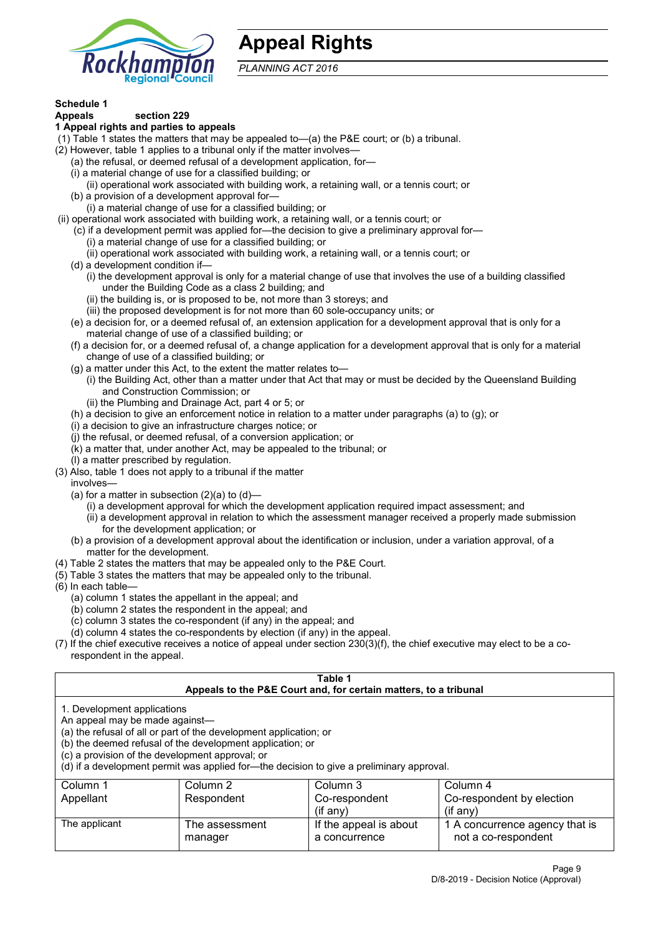

# **Appeal Rights**

*PLANNING ACT 2016*

# **Schedule 1**

#### **Appeals section 229 1 Appeal rights and parties to appeals**

- (1) Table 1 states the matters that may be appealed to—(a) the P&E court; or (b) a tribunal.
- (2) However, table 1 applies to a tribunal only if the matter involves—
	- (a) the refusal, or deemed refusal of a development application, for—
	- (i) a material change of use for a classified building; or
	- (ii) operational work associated with building work, a retaining wall, or a tennis court; or
	- (b) a provision of a development approval for—
	- (i) a material change of use for a classified building; or
- (ii) operational work associated with building work, a retaining wall, or a tennis court; or
	- (c) if a development permit was applied for—the decision to give a preliminary approval for—
		- (i) a material change of use for a classified building; or
		- (ii) operational work associated with building work, a retaining wall, or a tennis court; or
	- (d) a development condition if—
		- (i) the development approval is only for a material change of use that involves the use of a building classified under the Building Code as a class 2 building; and
		- (ii) the building is, or is proposed to be, not more than 3 storeys; and
		- (iii) the proposed development is for not more than 60 sole-occupancy units; or
	- (e) a decision for, or a deemed refusal of, an extension application for a development approval that is only for a material change of use of a classified building; or
	- (f) a decision for, or a deemed refusal of, a change application for a development approval that is only for a material change of use of a classified building; or
	- (g) a matter under this Act, to the extent the matter relates to—
		- (i) the Building Act, other than a matter under that Act that may or must be decided by the Queensland Building and Construction Commission; or
		- (ii) the Plumbing and Drainage Act, part 4 or 5; or
	- (h) a decision to give an enforcement notice in relation to a matter under paragraphs (a) to (g); or
	- (i) a decision to give an infrastructure charges notice; or
	- (j) the refusal, or deemed refusal, of a conversion application; or
	- (k) a matter that, under another Act, may be appealed to the tribunal; or
	- (l) a matter prescribed by regulation.
- (3) Also, table 1 does not apply to a tribunal if the matter

involves—

- (a) for a matter in subsection  $(2)(a)$  to  $(d)$ 
	- (i) a development approval for which the development application required impact assessment; and
	- (ii) a development approval in relation to which the assessment manager received a properly made submission for the development application; or
- (b) a provision of a development approval about the identification or inclusion, under a variation approval, of a matter for the development.
- (4) Table 2 states the matters that may be appealed only to the P&E Court.
- (5) Table 3 states the matters that may be appealed only to the tribunal.
- (6) In each table—
	- (a) column 1 states the appellant in the appeal; and
	- (b) column 2 states the respondent in the appeal; and
	- (c) column 3 states the co-respondent (if any) in the appeal; and
	- (d) column 4 states the co-respondents by election (if any) in the appeal.
- (7) If the chief executive receives a notice of appeal under section 230(3)(f), the chief executive may elect to be a corespondent in the appeal.

| Table 1<br>Appeals to the P&E Court and, for certain matters, to a tribunal                                                                                                                                                                                                                                                                    |                           |                                         |                                                         |  |
|------------------------------------------------------------------------------------------------------------------------------------------------------------------------------------------------------------------------------------------------------------------------------------------------------------------------------------------------|---------------------------|-----------------------------------------|---------------------------------------------------------|--|
| 1. Development applications<br>An appeal may be made against-<br>(a) the refusal of all or part of the development application; or<br>(b) the deemed refusal of the development application; or<br>(c) a provision of the development approval; or<br>(d) if a development permit was applied for-the decision to give a preliminary approval. |                           |                                         |                                                         |  |
| Column 1<br>Appellant                                                                                                                                                                                                                                                                                                                          | Column 2<br>Respondent    | Column 3<br>Co-respondent<br>(if any)   | Column 4<br>Co-respondent by election<br>$($ if any $)$ |  |
| The applicant                                                                                                                                                                                                                                                                                                                                  | The assessment<br>manager | If the appeal is about<br>a concurrence | 1 A concurrence agency that is<br>not a co-respondent   |  |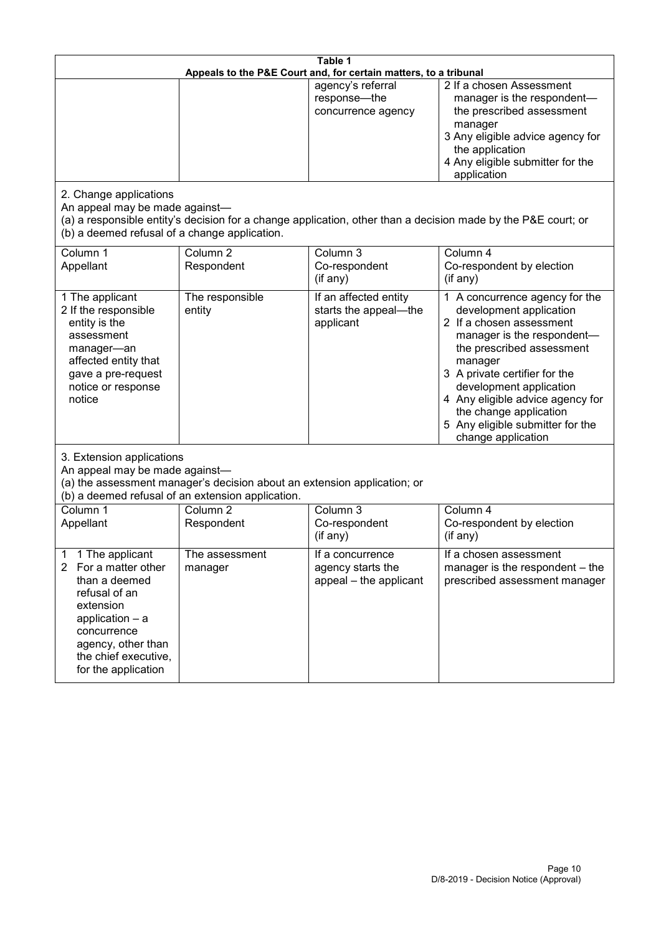| Table 1<br>Appeals to the P&E Court and, for certain matters, to a tribunal                                                                                                                                      |                                   |                                                                 |                                                                                                                                                                                                                                                                                                                                                 |  |
|------------------------------------------------------------------------------------------------------------------------------------------------------------------------------------------------------------------|-----------------------------------|-----------------------------------------------------------------|-------------------------------------------------------------------------------------------------------------------------------------------------------------------------------------------------------------------------------------------------------------------------------------------------------------------------------------------------|--|
|                                                                                                                                                                                                                  |                                   | agency's referral<br>response-the<br>concurrence agency         | 2 If a chosen Assessment<br>manager is the respondent-<br>the prescribed assessment<br>manager<br>3 Any eligible advice agency for<br>the application<br>4 Any eligible submitter for the<br>application                                                                                                                                        |  |
| 2. Change applications<br>An appeal may be made against-<br>(b) a deemed refusal of a change application.                                                                                                        |                                   |                                                                 | (a) a responsible entity's decision for a change application, other than a decision made by the P&E court; or                                                                                                                                                                                                                                   |  |
| Column 1<br>Appellant                                                                                                                                                                                            | Column <sub>2</sub><br>Respondent | Column 3<br>Co-respondent<br>(if any)                           | Column 4<br>Co-respondent by election<br>(if any)                                                                                                                                                                                                                                                                                               |  |
| 1 The applicant<br>2 If the responsible<br>entity is the<br>assessment<br>manager-an<br>affected entity that<br>gave a pre-request<br>notice or response<br>notice                                               | The responsible<br>entity         | If an affected entity<br>starts the appeal-the<br>applicant     | 1 A concurrence agency for the<br>development application<br>2 If a chosen assessment<br>manager is the respondent-<br>the prescribed assessment<br>manager<br>3 A private certifier for the<br>development application<br>4 Any eligible advice agency for<br>the change application<br>5 Any eligible submitter for the<br>change application |  |
| 3. Extension applications<br>An appeal may be made against-<br>(a) the assessment manager's decision about an extension application; or<br>(b) a deemed refusal of an extension application.                     |                                   |                                                                 |                                                                                                                                                                                                                                                                                                                                                 |  |
| Column 1<br>Appellant                                                                                                                                                                                            | Column <sub>2</sub><br>Respondent | Column 3<br>Co-respondent<br>(if any)                           | Column 4<br>Co-respondent by election<br>(if any)                                                                                                                                                                                                                                                                                               |  |
| 1 The applicant<br>1<br>For a matter other<br>$\mathbf{2}$<br>than a deemed<br>refusal of an<br>extension<br>application - a<br>concurrence<br>agency, other than<br>the chief executive,<br>for the application | The assessment<br>manager         | If a concurrence<br>agency starts the<br>appeal - the applicant | If a chosen assessment<br>manager is the respondent – the<br>prescribed assessment manager                                                                                                                                                                                                                                                      |  |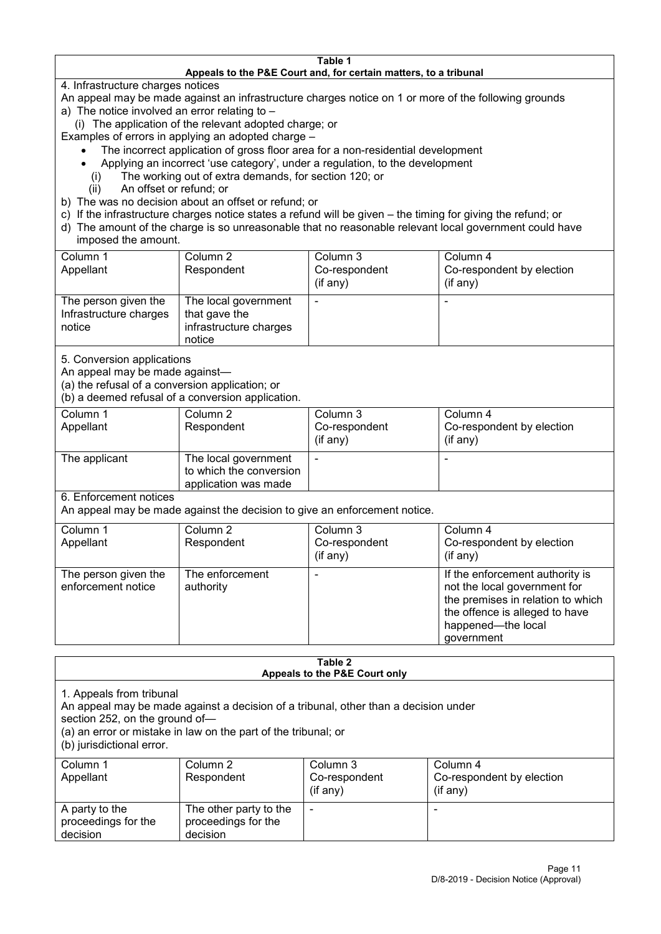#### **Table 1 Appeals to the P&E Court and, for certain matters, to a tribunal**

4. Infrastructure charges notices

- An appeal may be made against an infrastructure charges notice on 1 or more of the following grounds
- a) The notice involved an error relating to
	- (i) The application of the relevant adopted charge; or
- Examples of errors in applying an adopted charge
	- The incorrect application of gross floor area for a non-residential development
	- Applying an incorrect 'use category', under a regulation, to the development
	- (i) The working out of extra demands, for section 120; or
	- (ii) An offset or refund; or
- b) The was no decision about an offset or refund; or
- c) If the infrastructure charges notice states a refund will be given the timing for giving the refund; or
- d) The amount of the charge is so unreasonable that no reasonable relevant local government could have
- imposed the amount.

| Column 1                                                 | Column 2                                                                  | Column 3      | Column 4                  |
|----------------------------------------------------------|---------------------------------------------------------------------------|---------------|---------------------------|
| Appellant                                                | Respondent                                                                | Co-respondent | Co-respondent by election |
|                                                          |                                                                           | (if any)      | (if any)                  |
| The person given the<br>Infrastructure charges<br>notice | The local government<br>that gave the<br>infrastructure charges<br>notice | -             | $\overline{\phantom{a}}$  |

5. Conversion applications

An appeal may be made against—

(a) the refusal of a conversion application; or

(b) a deemed refusal of a conversion application.

| Column 1<br>Appellant | Column 2<br>Respondent                                                  | Column 3<br>Co-respondent | Column 4<br>Co-respondent by election |
|-----------------------|-------------------------------------------------------------------------|---------------------------|---------------------------------------|
|                       |                                                                         | $($ if any $)$            | $(if$ any)                            |
| The applicant         | The local government<br>to which the conversion<br>application was made |                           |                                       |

6. Enforcement notices

An appeal may be made against the decision to give an enforcement notice.

| Column 1<br>Appellant                      | Column 2<br>Respondent       | Column 3<br>Co-respondent<br>(if any) | Column 4<br>Co-respondent by election<br>(if any)                                                                                                                          |
|--------------------------------------------|------------------------------|---------------------------------------|----------------------------------------------------------------------------------------------------------------------------------------------------------------------------|
| The person given the<br>enforcement notice | The enforcement<br>authority |                                       | If the enforcement authority is<br>not the local government for<br>the premises in relation to which<br>the offence is alleged to have<br>happened-the local<br>government |

#### **Table 2 Appeals to the P&E Court only**

1. Appeals from tribunal

An appeal may be made against a decision of a tribunal, other than a decision under

section 252, on the ground of—

(a) an error or mistake in law on the part of the tribunal; or

(b) jurisdictional error.

| Column 1<br>Appellant                             | Column 2<br>Respondent                                    | Column 3<br>Co-respondent<br>$($ if any $)$ | Column 4<br>Co-respondent by election<br>$($ if any $)$ |
|---------------------------------------------------|-----------------------------------------------------------|---------------------------------------------|---------------------------------------------------------|
| A party to the<br>proceedings for the<br>decision | The other party to the<br>proceedings for the<br>decision | -                                           |                                                         |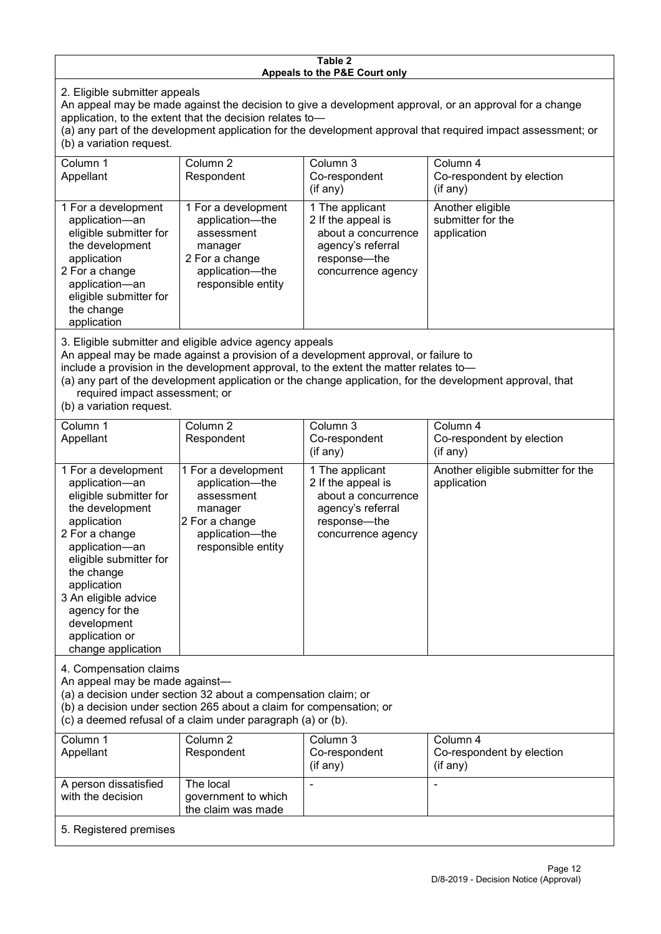#### **Table 2 Appeals to the P&E Court only**

2. Eligible submitter appeals

An appeal may be made against the decision to give a development approval, or an approval for a change application, to the extent that the decision relates to—

(a) any part of the development application for the development approval that required impact assessment; or (b) a variation request.

| Column 1<br>Appellant                                                                                                                                                                                                                                                                                                                                | Column <sub>2</sub><br>Respondent                                                                                          | Column 3<br>Co-respondent<br>$($ if any $)$                                                                             | Column 4<br>Co-respondent by election<br>(if any)    |  |
|------------------------------------------------------------------------------------------------------------------------------------------------------------------------------------------------------------------------------------------------------------------------------------------------------------------------------------------------------|----------------------------------------------------------------------------------------------------------------------------|-------------------------------------------------------------------------------------------------------------------------|------------------------------------------------------|--|
| 1 For a development<br>application-an<br>eligible submitter for<br>the development<br>application<br>2 For a change<br>application-an<br>eligible submitter for<br>the change<br>application                                                                                                                                                         | 1 For a development<br>application-the<br>assessment<br>manager<br>2 For a change<br>application—the<br>responsible entity | 1 The applicant<br>2 If the appeal is<br>about a concurrence<br>agency's referral<br>response—the<br>concurrence agency | Another eligible<br>submitter for the<br>application |  |
| 3. Eligible submitter and eligible advice agency appeals<br>An appeal may be made against a provision of a development approval, or failure to<br>include a provision in the development approval, to the extent the matter relates to-<br>(a) any part of the development application or the change application, for the development approval, that |                                                                                                                            |                                                                                                                         |                                                      |  |

required impact assessment; or

(b) a variation request.

| Column 1<br>Appellant                                                                                                                                                                                                                                                                         | Column 2<br>Respondent                                                                                                     | Column 3<br>Co-respondent                                                                                               | Column 4<br>Co-respondent by election             |  |
|-----------------------------------------------------------------------------------------------------------------------------------------------------------------------------------------------------------------------------------------------------------------------------------------------|----------------------------------------------------------------------------------------------------------------------------|-------------------------------------------------------------------------------------------------------------------------|---------------------------------------------------|--|
|                                                                                                                                                                                                                                                                                               |                                                                                                                            | (if any)                                                                                                                | (if any)                                          |  |
| 1 For a development<br>application-an<br>eligible submitter for<br>the development<br>application<br>2 For a change<br>application-an<br>eligible submitter for<br>the change<br>application<br>3 An eligible advice<br>agency for the<br>development<br>application or<br>change application | 1 For a development<br>application-the<br>assessment<br>manager<br>2 For a change<br>application-the<br>responsible entity | 1 The applicant<br>2 If the appeal is<br>about a concurrence<br>agency's referral<br>response—the<br>concurrence agency | Another eligible submitter for the<br>application |  |
| 4. Compensation claims<br>An appeal may be made against-<br>(a) a decision under section 32 about a compensation claim; or<br>(b) a decision under section 265 about a claim for compensation; or<br>(c) a deemed refusal of a claim under paragraph (a) or (b).                              |                                                                                                                            |                                                                                                                         |                                                   |  |
| Column 1<br>Appellant                                                                                                                                                                                                                                                                         | Column 2<br>Respondent                                                                                                     | Column 3<br>Co-respondent<br>(if any)                                                                                   | Column 4<br>Co-respondent by election<br>(if any) |  |
| A person dissatisfied<br>مسمئمنه ممالي مطالبات                                                                                                                                                                                                                                                | The local<br>وامتوان والملاطون وموالي والمتحددة                                                                            |                                                                                                                         | $\blacksquare$                                    |  |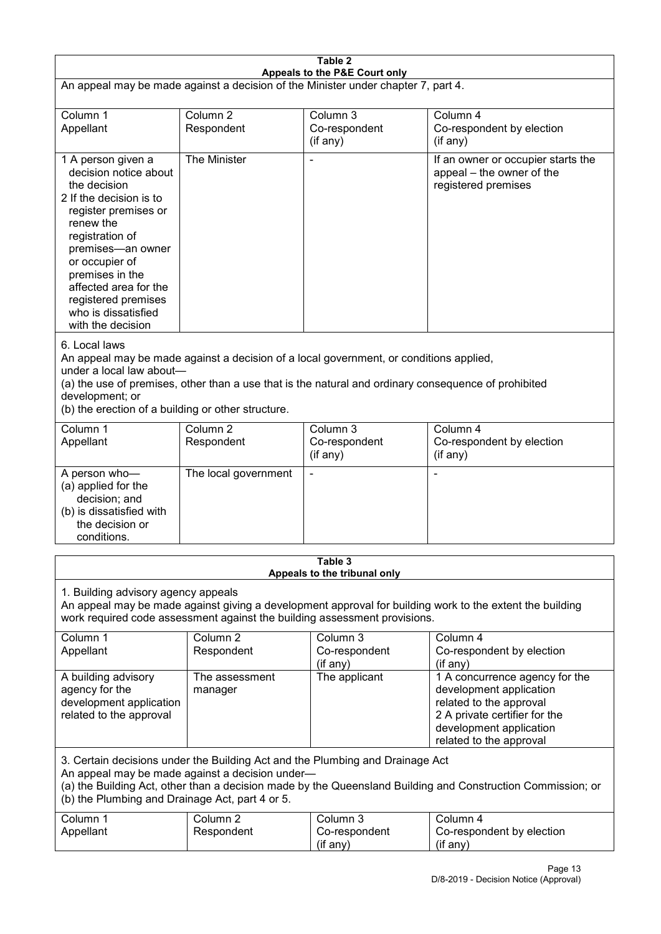| Table 2<br>Appeals to the P&E Court only                                                                                                                                                                                                                                                             |                                                                                                                                                                                                                                                                                  |                                       |                                                                                                                                                                             |  |  |
|------------------------------------------------------------------------------------------------------------------------------------------------------------------------------------------------------------------------------------------------------------------------------------------------------|----------------------------------------------------------------------------------------------------------------------------------------------------------------------------------------------------------------------------------------------------------------------------------|---------------------------------------|-----------------------------------------------------------------------------------------------------------------------------------------------------------------------------|--|--|
| An appeal may be made against a decision of the Minister under chapter 7, part 4.                                                                                                                                                                                                                    |                                                                                                                                                                                                                                                                                  |                                       |                                                                                                                                                                             |  |  |
| Column 1<br>Appellant                                                                                                                                                                                                                                                                                | Column <sub>2</sub><br>Respondent                                                                                                                                                                                                                                                | Column 3<br>Co-respondent<br>(if any) | Column 4<br>Co-respondent by election<br>(if any)                                                                                                                           |  |  |
| 1 A person given a<br>decision notice about<br>the decision<br>2 If the decision is to<br>register premises or<br>renew the<br>registration of<br>premises-an owner<br>or occupier of<br>premises in the<br>affected area for the<br>registered premises<br>who is dissatisfied<br>with the decision | The Minister                                                                                                                                                                                                                                                                     |                                       | If an owner or occupier starts the<br>appeal – the owner of the<br>registered premises                                                                                      |  |  |
| 6. Local laws<br>development; or                                                                                                                                                                                                                                                                     | An appeal may be made against a decision of a local government, or conditions applied,<br>under a local law about-<br>(a) the use of premises, other than a use that is the natural and ordinary consequence of prohibited<br>(b) the erection of a building or other structure. |                                       |                                                                                                                                                                             |  |  |
| Column 1<br>Appellant                                                                                                                                                                                                                                                                                | Column <sub>2</sub><br>Respondent                                                                                                                                                                                                                                                | Column 3<br>Co-respondent<br>(if any) | Column 4<br>Co-respondent by election<br>(if any)                                                                                                                           |  |  |
| A person who-<br>(a) applied for the<br>decision; and<br>(b) is dissatisfied with<br>the decision or<br>conditions.                                                                                                                                                                                  | The local government                                                                                                                                                                                                                                                             |                                       |                                                                                                                                                                             |  |  |
| Table 3<br>Appeals to the tribunal only                                                                                                                                                                                                                                                              |                                                                                                                                                                                                                                                                                  |                                       |                                                                                                                                                                             |  |  |
| 1. Building advisory agency appeals<br>An appeal may be made against giving a development approval for building work to the extent the building<br>work required code assessment against the building assessment provisions.                                                                         |                                                                                                                                                                                                                                                                                  |                                       |                                                                                                                                                                             |  |  |
| Column 1<br>Appellant                                                                                                                                                                                                                                                                                | Column <sub>2</sub><br>Respondent                                                                                                                                                                                                                                                | Column 3<br>Co-respondent<br>(if any) | Column 4<br>Co-respondent by election<br>(if any)                                                                                                                           |  |  |
| A building advisory<br>agency for the<br>development application<br>related to the approval                                                                                                                                                                                                          | The assessment<br>manager                                                                                                                                                                                                                                                        | The applicant                         | 1 A concurrence agency for the<br>development application<br>related to the approval<br>2 A private certifier for the<br>development application<br>related to the approval |  |  |
| 3. Certain decisions under the Building Act and the Plumbing and Drainage Act<br>An appeal may be made against a decision under-<br>(a) the Building Act, other than a decision made by the Queensland Building and Construction Commission; or<br>(b) the Plumbing and Drainage Act, part 4 or 5.   |                                                                                                                                                                                                                                                                                  |                                       |                                                                                                                                                                             |  |  |
| Column 1<br>Appellant                                                                                                                                                                                                                                                                                | Column <sub>2</sub><br>Respondent                                                                                                                                                                                                                                                | Column 3<br>Co-respondent<br>(if any) | Column 4<br>Co-respondent by election<br>(if any)                                                                                                                           |  |  |